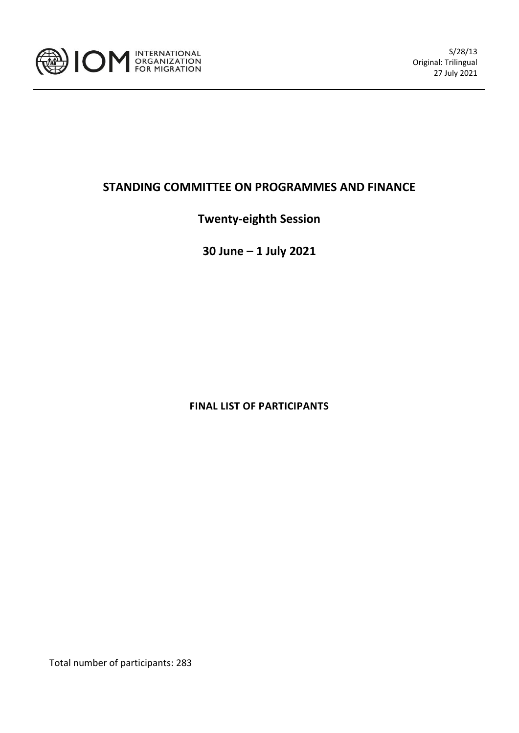

# **STANDING COMMITTEE ON PROGRAMMES AND FINANCE**

# **Twenty-eighth Session**

**30 June – 1 July 2021**

**FINAL LIST OF PARTICIPANTS**

Total number of participants: 283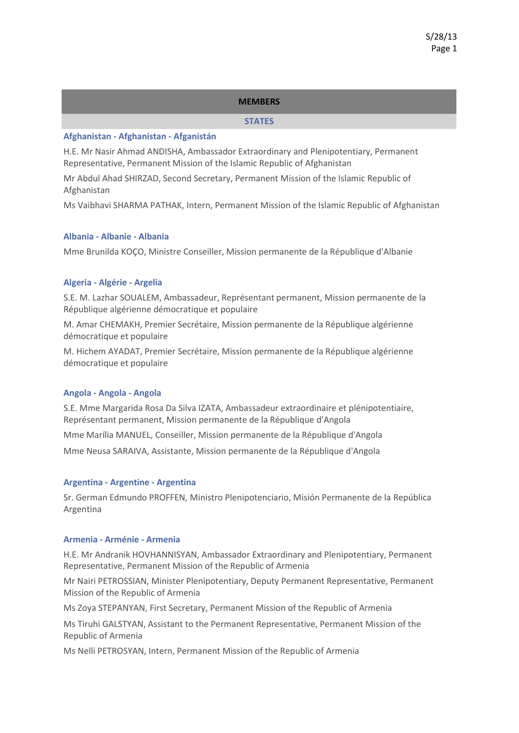### **MEMBERS**

#### **STATES**

#### **Afghanistan - Afghanistan - Afganistán**

H.E. Mr Nasir Ahmad ANDISHA, Ambassador Extraordinary and Plenipotentiary, Permanent Representative, Permanent Mission of the Islamic Republic of Afghanistan

Mr Abdul Ahad SHIRZAD, Second Secretary, Permanent Mission of the Islamic Republic of Afghanistan

Ms Vaibhavi SHARMA PATHAK, Intern, Permanent Mission of the Islamic Republic of Afghanistan

#### **Albania - Albanie - Albania**

Mme Brunilda KOÇO, Ministre Conseiller, Mission permanente de la République d'Albanie

#### **Algeria - Algérie - Argelia**

S.E. M. Lazhar SOUALEM, Ambassadeur, Représentant permanent, Mission permanente de la République algérienne démocratique et populaire

M. Amar CHEMAKH, Premier Secrétaire, Mission permanente de la République algérienne démocratique et populaire

M. Hichem AYADAT, Premier Secrétaire, Mission permanente de la République algérienne démocratique et populaire

#### **Angola - Angola - Angola**

S.E. Mme Margarida Rosa Da Silva IZATA, Ambassadeur extraordinaire et plénipotentiaire, Représentant permanent, Mission permanente de la République d'Angola

Mme Marília MANUEL, Conseiller, Mission permanente de la République d'Angola

Mme Neusa SARAIVA, Assistante, Mission permanente de la République d'Angola

# **Argentina - Argentine - Argentina**

Sr. German Edmundo PROFFEN, Ministro Plenipotenciario, Misión Permanente de la República Argentina

#### **Armenia - Arménie - Armenia**

H.E. Mr Andranik HOVHANNISYAN, Ambassador Extraordinary and Plenipotentiary, Permanent Representative, Permanent Mission of the Republic of Armenia

Mr Nairi PETROSSIAN, Minister Plenipotentiary, Deputy Permanent Representative, Permanent Mission of the Republic of Armenia

Ms Zoya STEPANYAN, First Secretary, Permanent Mission of the Republic of Armenia

Ms Tiruhi GALSTYAN, Assistant to the Permanent Representative, Permanent Mission of the Republic of Armenia

Ms Nelli PETROSYAN, Intern, Permanent Mission of the Republic of Armenia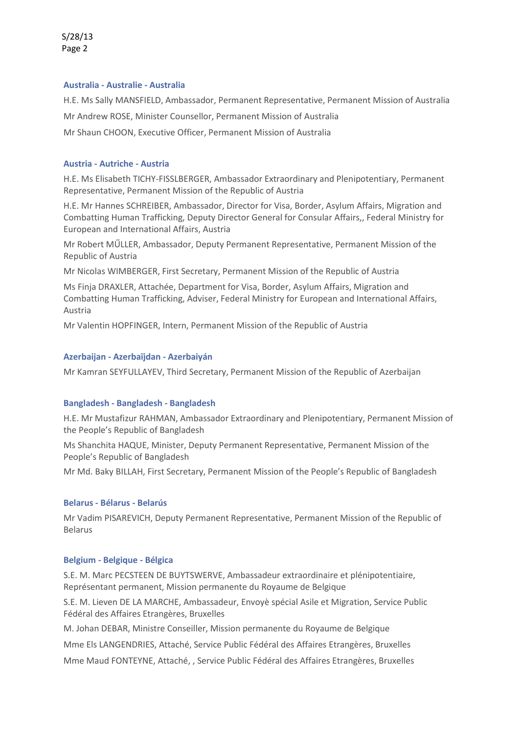### **Australia - Australie - Australia**

H.E. Ms Sally MANSFIELD, Ambassador, Permanent Representative, Permanent Mission of Australia Mr Andrew ROSE, Minister Counsellor, Permanent Mission of Australia Mr Shaun CHOON, Executive Officer, Permanent Mission of Australia

# **Austria - Autriche - Austria**

H.E. Ms Elisabeth TICHY-FISSLBERGER, Ambassador Extraordinary and Plenipotentiary, Permanent Representative, Permanent Mission of the Republic of Austria

H.E. Mr Hannes SCHREIBER, Ambassador, Director for Visa, Border, Asylum Affairs, Migration and Combatting Human Trafficking, Deputy Director General for Consular Affairs,, Federal Ministry for European and International Affairs, Austria

Mr Robert MŰLLER, Ambassador, Deputy Permanent Representative, Permanent Mission of the Republic of Austria

Mr Nicolas WIMBERGER, First Secretary, Permanent Mission of the Republic of Austria

Ms Finja DRAXLER, Attachée, Department for Visa, Border, Asylum Affairs, Migration and Combatting Human Trafficking, Adviser, Federal Ministry for European and International Affairs, Austria

Mr Valentin HOPFINGER, Intern, Permanent Mission of the Republic of Austria

#### **Azerbaijan - Azerbaïjdan - Azerbaiyán**

Mr Kamran SEYFULLAYEV, Third Secretary, Permanent Mission of the Republic of Azerbaijan

# **Bangladesh - Bangladesh - Bangladesh**

H.E. Mr Mustafizur RAHMAN, Ambassador Extraordinary and Plenipotentiary, Permanent Mission of the People's Republic of Bangladesh

Ms Shanchita HAQUE, Minister, Deputy Permanent Representative, Permanent Mission of the People's Republic of Bangladesh

Mr Md. Baky BILLAH, First Secretary, Permanent Mission of the People's Republic of Bangladesh

#### **Belarus - Bélarus - Belarús**

Mr Vadim PISAREVICH, Deputy Permanent Representative, Permanent Mission of the Republic of Belarus

#### **Belgium - Belgique - Bélgica**

S.E. M. Marc PECSTEEN DE BUYTSWERVE, Ambassadeur extraordinaire et plénipotentiaire, Représentant permanent, Mission permanente du Royaume de Belgique

S.E. M. Lieven DE LA MARCHE, Ambassadeur, Envoyè spécial Asile et Migration, Service Public Fédéral des Affaires Etrangères, Bruxelles

M. Johan DEBAR, Ministre Conseiller, Mission permanente du Royaume de Belgique

Mme Els LANGENDRIES, Attaché, Service Public Fédéral des Affaires Etrangères, Bruxelles

Mme Maud FONTEYNE, Attaché, , Service Public Fédéral des Affaires Etrangères, Bruxelles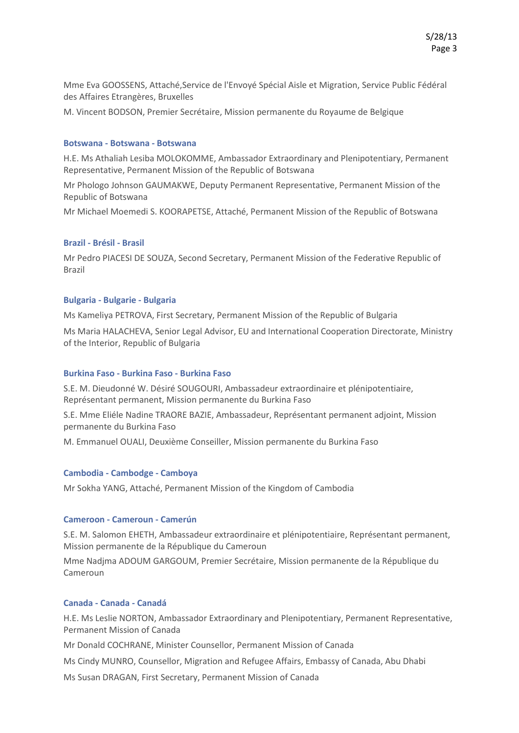Mme Eva GOOSSENS, Attaché,Service de l'Envoyé Spécial Aisle et Migration, Service Public Fédéral des Affaires Etrangères, Bruxelles

M. Vincent BODSON, Premier Secrétaire, Mission permanente du Royaume de Belgique

#### **Botswana - Botswana - Botswana**

H.E. Ms Athaliah Lesiba MOLOKOMME, Ambassador Extraordinary and Plenipotentiary, Permanent Representative, Permanent Mission of the Republic of Botswana

Mr Phologo Johnson GAUMAKWE, Deputy Permanent Representative, Permanent Mission of the Republic of Botswana

Mr Michael Moemedi S. KOORAPETSE, Attaché, Permanent Mission of the Republic of Botswana

# **Brazil - Brésil - Brasil**

Mr Pedro PIACESI DE SOUZA, Second Secretary, Permanent Mission of the Federative Republic of Brazil

#### **Bulgaria - Bulgarie - Bulgaria**

Ms Kameliya PETROVA, First Secretary, Permanent Mission of the Republic of Bulgaria

Ms Maria HALACHEVA, Senior Legal Advisor, EU and International Cooperation Directorate, Ministry of the Interior, Republic of Bulgaria

#### **Burkina Faso - Burkina Faso - Burkina Faso**

S.E. M. Dieudonné W. Désiré SOUGOURI, Ambassadeur extraordinaire et plénipotentiaire, Représentant permanent, Mission permanente du Burkina Faso

S.E. Mme Eliéle Nadine TRAORE BAZIE, Ambassadeur, Représentant permanent adjoint, Mission permanente du Burkina Faso

M. Emmanuel OUALI, Deuxième Conseiller, Mission permanente du Burkina Faso

#### **Cambodia - Cambodge - Camboya**

Mr Sokha YANG, Attaché, Permanent Mission of the Kingdom of Cambodia

#### **Cameroon - Cameroun - Camerún**

S.E. M. Salomon EHETH, Ambassadeur extraordinaire et plénipotentiaire, Représentant permanent, Mission permanente de la République du Cameroun

Mme Nadjma ADOUM GARGOUM, Premier Secrétaire, Mission permanente de la République du Cameroun

#### **Canada - Canada - Canadá**

H.E. Ms Leslie NORTON, Ambassador Extraordinary and Plenipotentiary, Permanent Representative, Permanent Mission of Canada

Mr Donald COCHRANE, Minister Counsellor, Permanent Mission of Canada

Ms Cindy MUNRO, Counsellor, Migration and Refugee Affairs, Embassy of Canada, Abu Dhabi

Ms Susan DRAGAN, First Secretary, Permanent Mission of Canada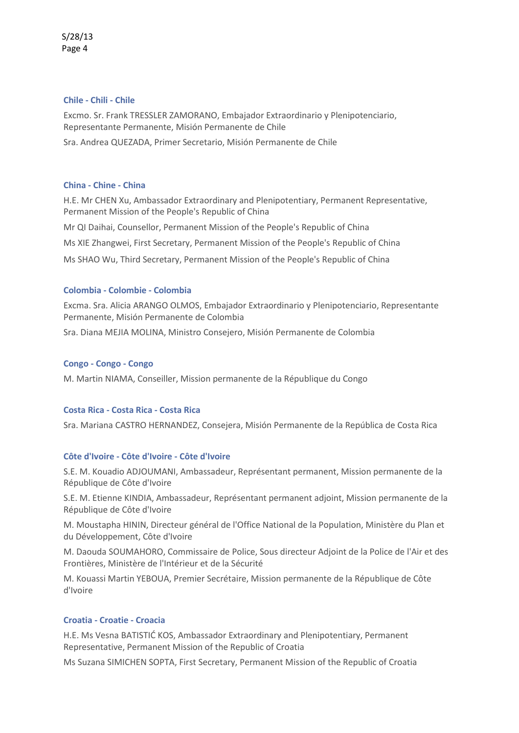### **Chile - Chili - Chile**

Excmo. Sr. Frank TRESSLER ZAMORANO, Embajador Extraordinario y Plenipotenciario, Representante Permanente, Misión Permanente de Chile

Sra. Andrea QUEZADA, Primer Secretario, Misión Permanente de Chile

# **China - Chine - China**

H.E. Mr CHEN Xu, Ambassador Extraordinary and Plenipotentiary, Permanent Representative, Permanent Mission of the People's Republic of China

Mr QI Daihai, Counsellor, Permanent Mission of the People's Republic of China

Ms XIE Zhangwei, First Secretary, Permanent Mission of the People's Republic of China

Ms SHAO Wu, Third Secretary, Permanent Mission of the People's Republic of China

# **Colombia - Colombie - Colombia**

Excma. Sra. Alicia ARANGO OLMOS, Embajador Extraordinario y Plenipotenciario, Representante Permanente, Misión Permanente de Colombia

Sra. Diana MEJIA MOLINA, Ministro Consejero, Misión Permanente de Colombia

# **Congo - Congo - Congo**

M. Martin NIAMA, Conseiller, Mission permanente de la République du Congo

# **Costa Rica - Costa Rica - Costa Rica**

Sra. Mariana CASTRO HERNANDEZ, Consejera, Misión Permanente de la República de Costa Rica

# **Côte d'Ivoire - Côte d'Ivoire - Côte d'Ivoire**

S.E. M. Kouadio ADJOUMANI, Ambassadeur, Représentant permanent, Mission permanente de la République de Côte d'Ivoire

S.E. M. Etienne KINDIA, Ambassadeur, Représentant permanent adjoint, Mission permanente de la République de Côte d'Ivoire

M. Moustapha HININ, Directeur général de l'Office National de la Population, Ministère du Plan et du Développement, Côte d'Ivoire

M. Daouda SOUMAHORO, Commissaire de Police, Sous directeur Adjoint de la Police de l'Air et des Frontières, Ministère de l'Intérieur et de la Sécurité

M. Kouassi Martin YEBOUA, Premier Secrétaire, Mission permanente de la République de Côte d'Ivoire

# **Croatia - Croatie - Croacia**

H.E. Ms Vesna BATISTIĆ KOS, Ambassador Extraordinary and Plenipotentiary, Permanent Representative, Permanent Mission of the Republic of Croatia

Ms Suzana SIMICHEN SOPTA, First Secretary, Permanent Mission of the Republic of Croatia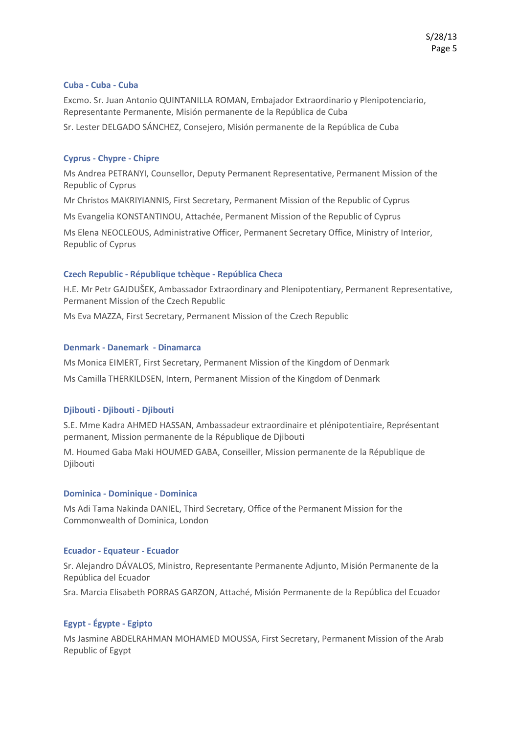### **Cuba - Cuba - Cuba**

Excmo. Sr. Juan Antonio QUINTANILLA ROMAN, Embajador Extraordinario y Plenipotenciario, Representante Permanente, Misión permanente de la República de Cuba

Sr. Lester DELGADO SÁNCHEZ, Consejero, Misión permanente de la República de Cuba

# **Cyprus - Chypre - Chipre**

Ms Andrea PETRANYI, Counsellor, Deputy Permanent Representative, Permanent Mission of the Republic of Cyprus

Mr Christos MAKRIYIANNIS, First Secretary, Permanent Mission of the Republic of Cyprus

Ms Evangelia KONSTANTINOU, Attachée, Permanent Mission of the Republic of Cyprus

Ms Elena NEOCLEOUS, Administrative Officer, Permanent Secretary Office, Ministry of Interior, Republic of Cyprus

#### **Czech Republic - République tchèque - República Checa**

H.E. Mr Petr GAJDUŠEK, Ambassador Extraordinary and Plenipotentiary, Permanent Representative, Permanent Mission of the Czech Republic

Ms Eva MAZZA, First Secretary, Permanent Mission of the Czech Republic

#### **Denmark - Danemark - Dinamarca**

Ms Monica EIMERT, First Secretary, Permanent Mission of the Kingdom of Denmark Ms Camilla THERKILDSEN, Intern, Permanent Mission of the Kingdom of Denmark

# **Djibouti - Djibouti - Djibouti**

S.E. Mme Kadra AHMED HASSAN, Ambassadeur extraordinaire et plénipotentiaire, Représentant permanent, Mission permanente de la République de Djibouti

M. Houmed Gaba Maki HOUMED GABA, Conseiller, Mission permanente de la République de Djibouti

# **Dominica - Dominique - Dominica**

Ms Adi Tama Nakinda DANIEL, Third Secretary, Office of the Permanent Mission for the Commonwealth of Dominica, London

# **Ecuador - Equateur - Ecuador**

Sr. Alejandro DÁVALOS, Ministro, Representante Permanente Adjunto, Misión Permanente de la República del Ecuador

Sra. Marcia Elisabeth PORRAS GARZON, Attaché, Misión Permanente de la República del Ecuador

# **Egypt - Égypte - Egipto**

Ms Jasmine ABDELRAHMAN MOHAMED MOUSSA, First Secretary, Permanent Mission of the Arab Republic of Egypt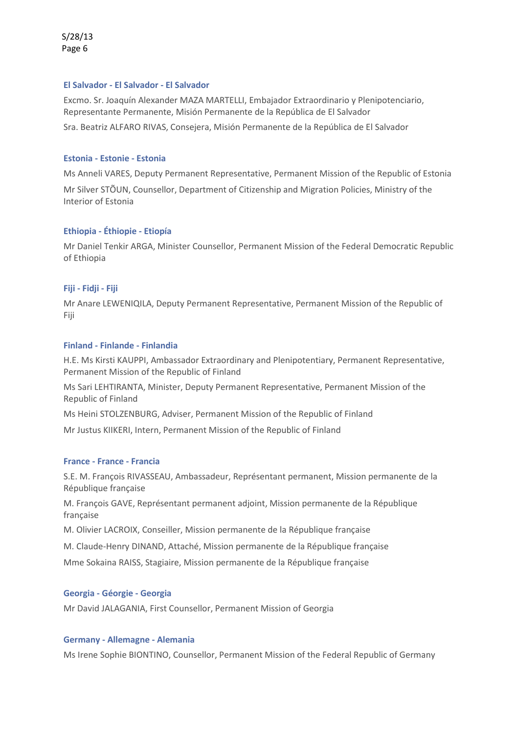#### **El Salvador - El Salvador - El Salvador**

Excmo. Sr. Joaquín Alexander MAZA MARTELLI, Embajador Extraordinario y Plenipotenciario, Representante Permanente, Misión Permanente de la República de El Salvador

Sra. Beatriz ALFARO RIVAS, Consejera, Misión Permanente de la República de El Salvador

# **Estonia - Estonie - Estonia**

Ms Anneli VARES, Deputy Permanent Representative, Permanent Mission of the Republic of Estonia

Mr Silver STÕUN, Counsellor, Department of Citizenship and Migration Policies, Ministry of the Interior of Estonia

#### **Ethiopia - Éthiopie - Etiopía**

Mr Daniel Tenkir ARGA, Minister Counsellor, Permanent Mission of the Federal Democratic Republic of Ethiopia

#### **Fiji - Fidji - Fiji**

Mr Anare LEWENIQILA, Deputy Permanent Representative, Permanent Mission of the Republic of Fiji

#### **Finland - Finlande - Finlandia**

H.E. Ms Kirsti KAUPPI, Ambassador Extraordinary and Plenipotentiary, Permanent Representative, Permanent Mission of the Republic of Finland

Ms Sari LEHTIRANTA, Minister, Deputy Permanent Representative, Permanent Mission of the Republic of Finland

Ms Heini STOLZENBURG, Adviser, Permanent Mission of the Republic of Finland

Mr Justus KIIKERI, Intern, Permanent Mission of the Republic of Finland

#### **France - France - Francia**

S.E. M. François RIVASSEAU, Ambassadeur, Représentant permanent, Mission permanente de la République française

M. François GAVE, Représentant permanent adjoint, Mission permanente de la République française

M. Olivier LACROIX, Conseiller, Mission permanente de la République française

M. Claude-Henry DINAND, Attaché, Mission permanente de la République française

Mme Sokaina RAISS, Stagiaire, Mission permanente de la République française

# **Georgia - Géorgie - Georgia**

Mr David JALAGANIA, First Counsellor, Permanent Mission of Georgia

#### **Germany - Allemagne - Alemania**

Ms Irene Sophie BIONTINO, Counsellor, Permanent Mission of the Federal Republic of Germany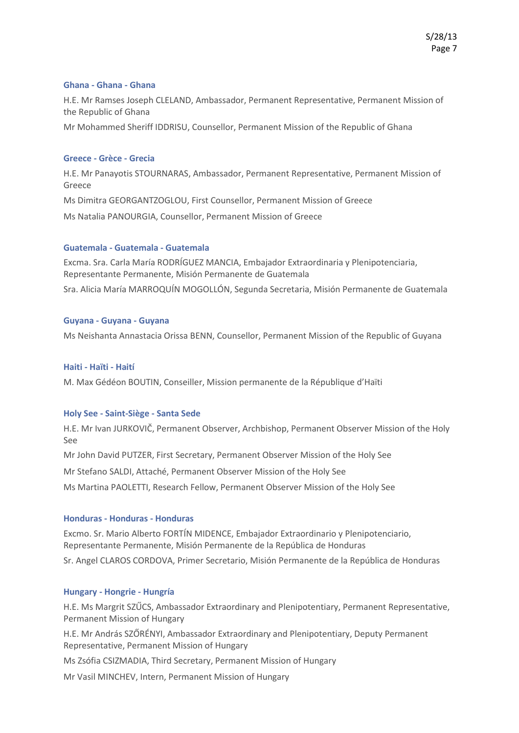#### **Ghana - Ghana - Ghana**

H.E. Mr Ramses Joseph CLELAND, Ambassador, Permanent Representative, Permanent Mission of the Republic of Ghana

Mr Mohammed Sheriff IDDRISU, Counsellor, Permanent Mission of the Republic of Ghana

### **Greece - Grèce - Grecia**

H.E. Mr Panayotis STOURNARAS, Ambassador, Permanent Representative, Permanent Mission of Greece

Ms Dimitra GEORGANTZOGLOU, First Counsellor, Permanent Mission of Greece

Ms Natalia PANOURGIA, Counsellor, Permanent Mission of Greece

#### **Guatemala - Guatemala - Guatemala**

Excma. Sra. Carla María RODRÍGUEZ MANCIA, Embajador Extraordinaria y Plenipotenciaria, Representante Permanente, Misión Permanente de Guatemala Sra. Alicia María MARROQUÍN MOGOLLÓN, Segunda Secretaria, Misión Permanente de Guatemala

#### **Guyana - Guyana - Guyana**

Ms Neishanta Annastacia Orissa BENN, Counsellor, Permanent Mission of the Republic of Guyana

# **Haiti - Haïti - Haití**

M. Max Gédéon BOUTIN, Conseiller, Mission permanente de la République d'Haïti

# **Holy See - Saint-Siège - Santa Sede**

H.E. Mr Ivan JURKOVIČ, Permanent Observer, Archbishop, Permanent Observer Mission of the Holy See

Mr John David PUTZER, First Secretary, Permanent Observer Mission of the Holy See

Mr Stefano SALDI, Attaché, Permanent Observer Mission of the Holy See

Ms Martina PAOLETTI, Research Fellow, Permanent Observer Mission of the Holy See

# **Honduras - Honduras - Honduras**

Excmo. Sr. Mario Alberto FORTÍN MIDENCE, Embajador Extraordinario y Plenipotenciario, Representante Permanente, Misión Permanente de la República de Honduras Sr. Angel CLAROS CORDOVA, Primer Secretario, Misión Permanente de la República de Honduras

# **Hungary - Hongrie - Hungría**

H.E. Ms Margrit SZŰCS, Ambassador Extraordinary and Plenipotentiary, Permanent Representative, Permanent Mission of Hungary

H.E. Mr András SZŐRÉNYI, Ambassador Extraordinary and Plenipotentiary, Deputy Permanent Representative, Permanent Mission of Hungary

Ms Zsófia CSIZMADIA, Third Secretary, Permanent Mission of Hungary

Mr Vasil MINCHEV, Intern, Permanent Mission of Hungary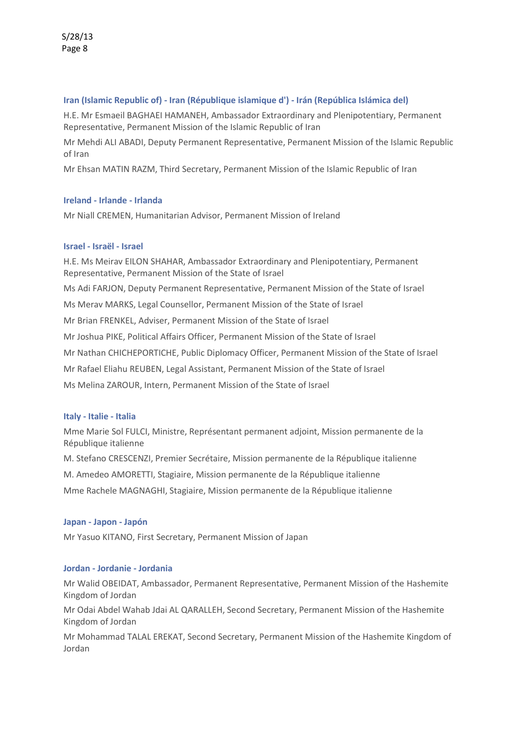# **Iran (Islamic Republic of) - Iran (République islamique d') - Irán (República Islámica del)**

H.E. Mr Esmaeil BAGHAEI HAMANEH, Ambassador Extraordinary and Plenipotentiary, Permanent Representative, Permanent Mission of the Islamic Republic of Iran

Mr Mehdi ALI ABADI, Deputy Permanent Representative, Permanent Mission of the Islamic Republic of Iran

Mr Ehsan MATIN RAZM, Third Secretary, Permanent Mission of the Islamic Republic of Iran

#### **Ireland - Irlande - Irlanda**

Mr Niall CREMEN, Humanitarian Advisor, Permanent Mission of Ireland

#### **Israel - Israël - Israel**

H.E. Ms Meirav EILON SHAHAR, Ambassador Extraordinary and Plenipotentiary, Permanent Representative, Permanent Mission of the State of Israel Ms Adi FARJON, Deputy Permanent Representative, Permanent Mission of the State of Israel Ms Merav MARKS, Legal Counsellor, Permanent Mission of the State of Israel Mr Brian FRENKEL, Adviser, Permanent Mission of the State of Israel Mr Joshua PIKE, Political Affairs Officer, Permanent Mission of the State of Israel Mr Nathan CHICHEPORTICHE, Public Diplomacy Officer, Permanent Mission of the State of Israel Mr Rafael Eliahu REUBEN, Legal Assistant, Permanent Mission of the State of Israel Ms Melina ZAROUR, Intern, Permanent Mission of the State of Israel

# **Italy - Italie - Italia**

Mme Marie Sol FULCI, Ministre, Représentant permanent adjoint, Mission permanente de la République italienne

M. Stefano CRESCENZI, Premier Secrétaire, Mission permanente de la République italienne

M. Amedeo AMORETTI, Stagiaire, Mission permanente de la République italienne

Mme Rachele MAGNAGHI, Stagiaire, Mission permanente de la République italienne

#### **Japan - Japon - Japón**

Mr Yasuo KITANO, First Secretary, Permanent Mission of Japan

# **Jordan - Jordanie - Jordania**

Mr Walid OBEIDAT, Ambassador, Permanent Representative, Permanent Mission of the Hashemite Kingdom of Jordan

Mr Odai Abdel Wahab Jdai AL QARALLEH, Second Secretary, Permanent Mission of the Hashemite Kingdom of Jordan

Mr Mohammad TALAL EREKAT, Second Secretary, Permanent Mission of the Hashemite Kingdom of Jordan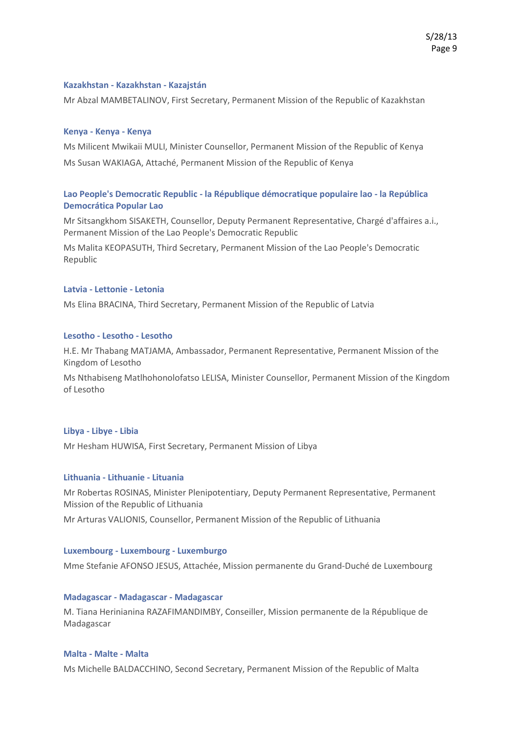#### **Kazakhstan - Kazakhstan - Kazajstán**

Mr Abzal MAMBETALINOV, First Secretary, Permanent Mission of the Republic of Kazakhstan

#### **Kenya - Kenya - Kenya**

Ms Milicent Mwikaii MULI, Minister Counsellor, Permanent Mission of the Republic of Kenya Ms Susan WAKIAGA, Attaché, Permanent Mission of the Republic of Kenya

# **Lao People's Democratic Republic - la République démocratique populaire lao - la República Democrática Popular Lao**

Mr Sitsangkhom SISAKETH, Counsellor, Deputy Permanent Representative, Chargé d'affaires a.i., Permanent Mission of the Lao People's Democratic Republic

Ms Malita KEOPASUTH, Third Secretary, Permanent Mission of the Lao People's Democratic Republic

### **Latvia - Lettonie - Letonia**

Ms Elina BRACINA, Third Secretary, Permanent Mission of the Republic of Latvia

#### **Lesotho - Lesotho - Lesotho**

H.E. Mr Thabang MATJAMA, Ambassador, Permanent Representative, Permanent Mission of the Kingdom of Lesotho

Ms Nthabiseng Matlhohonolofatso LELISA, Minister Counsellor, Permanent Mission of the Kingdom of Lesotho

#### **Libya - Libye - Libia**

Mr Hesham HUWISA, First Secretary, Permanent Mission of Libya

#### **Lithuania - Lithuanie - Lituania**

Mr Robertas ROSINAS, Minister Plenipotentiary, Deputy Permanent Representative, Permanent Mission of the Republic of Lithuania

Mr Arturas VALIONIS, Counsellor, Permanent Mission of the Republic of Lithuania

#### **Luxembourg - Luxembourg - Luxemburgo**

Mme Stefanie AFONSO JESUS, Attachée, Mission permanente du Grand-Duché de Luxembourg

#### **Madagascar - Madagascar - Madagascar**

M. Tiana Herinianina RAZAFIMANDIMBY, Conseiller, Mission permanente de la République de Madagascar

#### **Malta - Malte - Malta**

Ms Michelle BALDACCHINO, Second Secretary, Permanent Mission of the Republic of Malta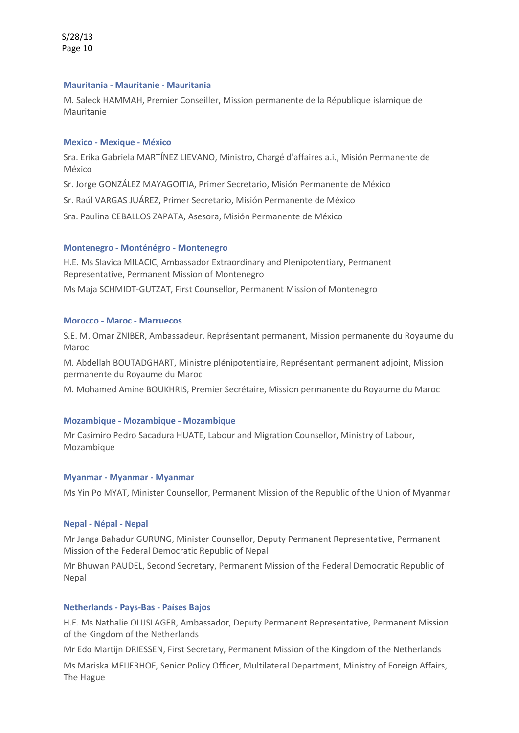#### **Mauritania - Mauritanie - Mauritania**

M. Saleck HAMMAH, Premier Conseiller, Mission permanente de la République islamique de Mauritanie

#### **Mexico - Mexique - México**

Sra. Erika Gabriela MARTÍNEZ LIEVANO, Ministro, Chargé d'affaires a.i., Misión Permanente de México

Sr. Jorge GONZÁLEZ MAYAGOITIA, Primer Secretario, Misión Permanente de México

Sr. Raúl VARGAS JUÁREZ, Primer Secretario, Misión Permanente de México

Sra. Paulina CEBALLOS ZAPATA, Asesora, Misión Permanente de México

#### **Montenegro - Monténégro - Montenegro**

H.E. Ms Slavica MILACIC, Ambassador Extraordinary and Plenipotentiary, Permanent Representative, Permanent Mission of Montenegro

Ms Maja SCHMIDT-GUTZAT, First Counsellor, Permanent Mission of Montenegro

#### **Morocco - Maroc - Marruecos**

S.E. M. Omar ZNIBER, Ambassadeur, Représentant permanent, Mission permanente du Royaume du Maroc

M. Abdellah BOUTADGHART, Ministre plénipotentiaire, Représentant permanent adjoint, Mission permanente du Royaume du Maroc

M. Mohamed Amine BOUKHRIS, Premier Secrétaire, Mission permanente du Royaume du Maroc

# **Mozambique - Mozambique - Mozambique**

Mr Casimiro Pedro Sacadura HUATE, Labour and Migration Counsellor, Ministry of Labour, Mozambique

#### **Myanmar - Myanmar - Myanmar**

Ms Yin Po MYAT, Minister Counsellor, Permanent Mission of the Republic of the Union of Myanmar

# **Nepal - Népal - Nepal**

Mr Janga Bahadur GURUNG, Minister Counsellor, Deputy Permanent Representative, Permanent Mission of the Federal Democratic Republic of Nepal

Mr Bhuwan PAUDEL, Second Secretary, Permanent Mission of the Federal Democratic Republic of Nepal

#### **Netherlands - Pays-Bas - Países Bajos**

H.E. Ms Nathalie OLIJSLAGER, Ambassador, Deputy Permanent Representative, Permanent Mission of the Kingdom of the Netherlands

Mr Edo Martijn DRIESSEN, First Secretary, Permanent Mission of the Kingdom of the Netherlands

Ms Mariska MEIJERHOF, Senior Policy Officer, Multilateral Department, Ministry of Foreign Affairs, The Hague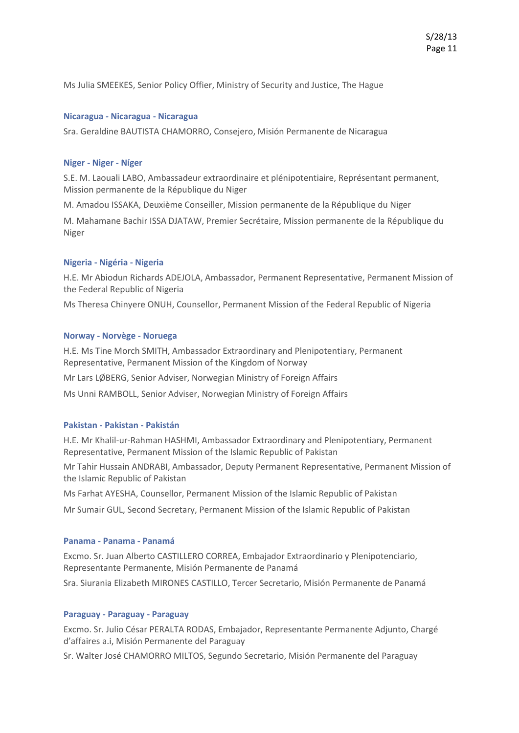Ms Julia SMEEKES, Senior Policy Offier, Ministry of Security and Justice, The Hague

#### **Nicaragua - Nicaragua - Nicaragua**

Sra. Geraldine BAUTISTA CHAMORRO, Consejero, Misión Permanente de Nicaragua

#### **Niger - Niger - Níger**

S.E. M. Laouali LABO, Ambassadeur extraordinaire et plénipotentiaire, Représentant permanent, Mission permanente de la République du Niger

M. Amadou ISSAKA, Deuxième Conseiller, Mission permanente de la République du Niger

M. Mahamane Bachir ISSA DJATAW, Premier Secrétaire, Mission permanente de la République du Niger

#### **Nigeria - Nigéria - Nigeria**

H.E. Mr Abiodun Richards ADEJOLA, Ambassador, Permanent Representative, Permanent Mission of the Federal Republic of Nigeria

Ms Theresa Chinyere ONUH, Counsellor, Permanent Mission of the Federal Republic of Nigeria

#### **Norway - Norvège - Noruega**

H.E. Ms Tine Morch SMITH, Ambassador Extraordinary and Plenipotentiary, Permanent Representative, Permanent Mission of the Kingdom of Norway

Mr Lars LØBERG, Senior Adviser, Norwegian Ministry of Foreign Affairs

Ms Unni RAMBOLL, Senior Adviser, Norwegian Ministry of Foreign Affairs

#### **Pakistan - Pakistan - Pakistán**

H.E. Mr Khalil-ur-Rahman HASHMI, Ambassador Extraordinary and Plenipotentiary, Permanent Representative, Permanent Mission of the Islamic Republic of Pakistan

Mr Tahir Hussain ANDRABI, Ambassador, Deputy Permanent Representative, Permanent Mission of the Islamic Republic of Pakistan

Ms Farhat AYESHA, Counsellor, Permanent Mission of the Islamic Republic of Pakistan

Mr Sumair GUL, Second Secretary, Permanent Mission of the Islamic Republic of Pakistan

#### **Panama - Panama - Panamá**

Excmo. Sr. Juan Alberto CASTILLERO CORREA, Embajador Extraordinario y Plenipotenciario, Representante Permanente, Misión Permanente de Panamá Sra. Siurania Elizabeth MIRONES CASTILLO, Tercer Secretario, Misión Permanente de Panamá

# **Paraguay - Paraguay - Paraguay**

Excmo. Sr. Julio César PERALTA RODAS, Embajador, Representante Permanente Adjunto, Chargé d'affaires a.i, Misión Permanente del Paraguay

Sr. Walter José CHAMORRO MILTOS, Segundo Secretario, Misión Permanente del Paraguay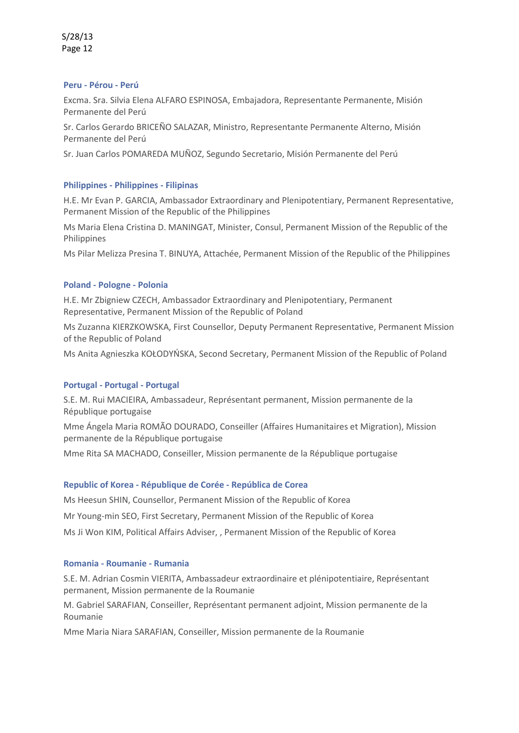# **Peru - Pérou - Perú**

Excma. Sra. Silvia Elena ALFARO ESPINOSA, Embajadora, Representante Permanente, Misión Permanente del Perú

Sr. Carlos Gerardo BRICEÑO SALAZAR, Ministro, Representante Permanente Alterno, Misión Permanente del Perú

Sr. Juan Carlos POMAREDA MUÑOZ, Segundo Secretario, Misión Permanente del Perú

# **Philippines - Philippines - Filipinas**

H.E. Mr Evan P. GARCIA, Ambassador Extraordinary and Plenipotentiary, Permanent Representative, Permanent Mission of the Republic of the Philippines

Ms Maria Elena Cristina D. MANINGAT, Minister, Consul, Permanent Mission of the Republic of the Philippines

Ms Pilar Melizza Presina T. BINUYA, Attachée, Permanent Mission of the Republic of the Philippines

#### **Poland - Pologne - Polonia**

H.E. Mr Zbigniew CZECH, Ambassador Extraordinary and Plenipotentiary, Permanent Representative, Permanent Mission of the Republic of Poland

Ms Zuzanna KIERZKOWSKA, First Counsellor, Deputy Permanent Representative, Permanent Mission of the Republic of Poland

Ms Anita Agnieszka KOŁODYŃSKA, Second Secretary, Permanent Mission of the Republic of Poland

# **Portugal - Portugal - Portugal**

S.E. M. Rui MACIEIRA, Ambassadeur, Représentant permanent, Mission permanente de la République portugaise

Mme Ángela Maria ROMÃO DOURADO, Conseiller (Affaires Humanitaires et Migration), Mission permanente de la République portugaise

Mme Rita SA MACHADO, Conseiller, Mission permanente de la République portugaise

# **Republic of Korea - République de Corée - República de Corea**

Ms Heesun SHIN, Counsellor, Permanent Mission of the Republic of Korea

Mr Young-min SEO, First Secretary, Permanent Mission of the Republic of Korea

Ms Ji Won KIM, Political Affairs Adviser, , Permanent Mission of the Republic of Korea

#### **Romania - Roumanie - Rumania**

S.E. M. Adrian Cosmin VIERITA, Ambassadeur extraordinaire et plénipotentiaire, Représentant permanent, Mission permanente de la Roumanie

M. Gabriel SARAFIAN, Conseiller, Représentant permanent adjoint, Mission permanente de la Roumanie

Mme Maria Niara SARAFIAN, Conseiller, Mission permanente de la Roumanie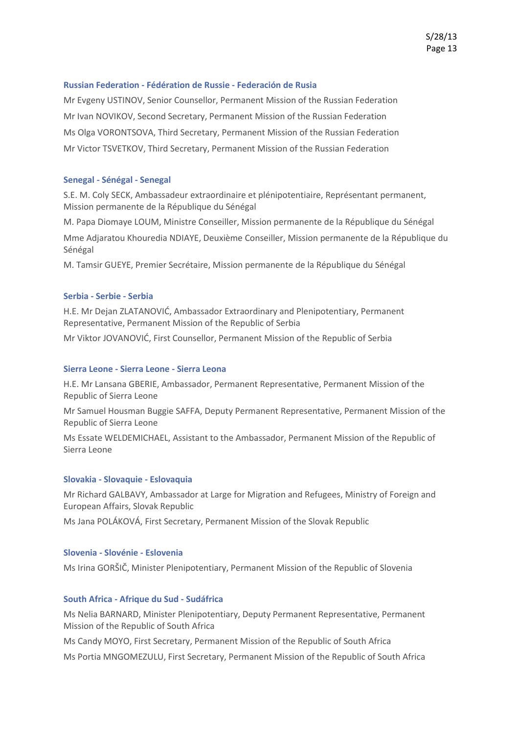#### **Russian Federation - Fédération de Russie - Federación de Rusia**

Mr Evgeny USTINOV, Senior Counsellor, Permanent Mission of the Russian Federation Mr Ivan NOVIKOV, Second Secretary, Permanent Mission of the Russian Federation Ms Olga VORONTSOVA, Third Secretary, Permanent Mission of the Russian Federation Mr Victor TSVETKOV, Third Secretary, Permanent Mission of the Russian Federation

#### **Senegal - Sénégal - Senegal**

S.E. M. Coly SECK, Ambassadeur extraordinaire et plénipotentiaire, Représentant permanent, Mission permanente de la République du Sénégal

M. Papa Diomaye LOUM, Ministre Conseiller, Mission permanente de la République du Sénégal

Mme Adjaratou Khouredia NDIAYE, Deuxième Conseiller, Mission permanente de la République du Sénégal

M. Tamsir GUEYE, Premier Secrétaire, Mission permanente de la République du Sénégal

#### **Serbia - Serbie - Serbia**

H.E. Mr Dejan ZLATANOVIĆ, Ambassador Extraordinary and Plenipotentiary, Permanent Representative, Permanent Mission of the Republic of Serbia

Mr Viktor JOVANOVIĆ, First Counsellor, Permanent Mission of the Republic of Serbia

### **Sierra Leone - Sierra Leone - Sierra Leona**

H.E. Mr Lansana GBERIE, Ambassador, Permanent Representative, Permanent Mission of the Republic of Sierra Leone

Mr Samuel Housman Buggie SAFFA, Deputy Permanent Representative, Permanent Mission of the Republic of Sierra Leone

Ms Essate WELDEMICHAEL, Assistant to the Ambassador, Permanent Mission of the Republic of Sierra Leone

# **Slovakia - Slovaquie - Eslovaquia**

Mr Richard GALBAVY, Ambassador at Large for Migration and Refugees, Ministry of Foreign and European Affairs, Slovak Republic

Ms Jana POLÁKOVÁ, First Secretary, Permanent Mission of the Slovak Republic

# **Slovenia - Slovénie - Eslovenia**

Ms Irina GORŠIČ, Minister Plenipotentiary, Permanent Mission of the Republic of Slovenia

# **South Africa - Afrique du Sud - Sudáfrica**

Ms Nelia BARNARD, Minister Plenipotentiary, Deputy Permanent Representative, Permanent Mission of the Republic of South Africa

Ms Candy MOYO, First Secretary, Permanent Mission of the Republic of South Africa

Ms Portia MNGOMEZULU, First Secretary, Permanent Mission of the Republic of South Africa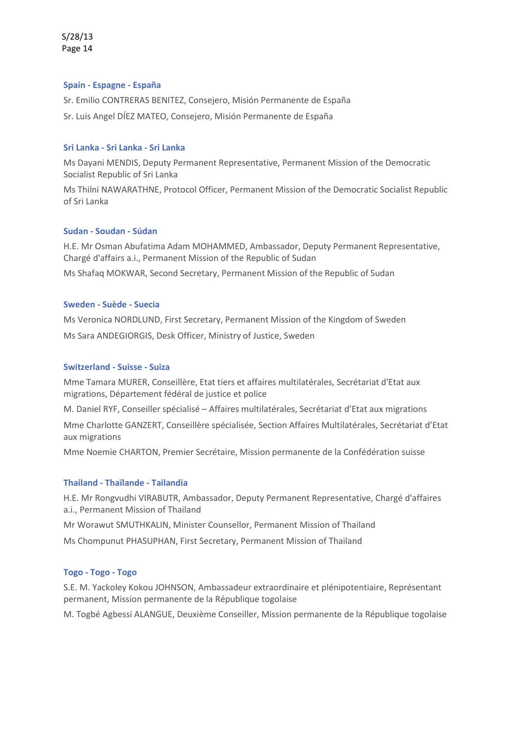# **Spain - Espagne - España**

Sr. Emilio CONTRERAS BENITEZ, Consejero, Misión Permanente de España Sr. Luis Angel DÍEZ MATEO, Consejero, Misión Permanente de España

# **Sri Lanka - Sri Lanka - Sri Lanka**

Ms Dayani MENDIS, Deputy Permanent Representative, Permanent Mission of the Democratic Socialist Republic of Sri Lanka

Ms Thilni NAWARATHNE, Protocol Officer, Permanent Mission of the Democratic Socialist Republic of Sri Lanka

# **Sudan - Soudan - Súdan**

H.E. Mr Osman Abufatima Adam MOHAMMED, Ambassador, Deputy Permanent Representative, Chargé d'affairs a.i., Permanent Mission of the Republic of Sudan

Ms Shafaq MOKWAR, Second Secretary, Permanent Mission of the Republic of Sudan

# **Sweden - Suède - Suecia**

Ms Veronica NORDLUND, First Secretary, Permanent Mission of the Kingdom of Sweden Ms Sara ANDEGIORGIS, Desk Officer, Ministry of Justice, Sweden

# **Switzerland - Suisse - Suiza**

Mme Tamara MURER, Conseillère, Etat tiers et affaires multilatérales, Secrétariat d'Etat aux migrations, Département fédéral de justice et police

M. Daniel RYF, Conseiller spécialisé – Affaires multilatérales, Secrétariat d'Etat aux migrations

Mme Charlotte GANZERT, Conseillère spécialisée, Section Affaires Multilatérales, Secrétariat d'Etat aux migrations

Mme Noemie CHARTON, Premier Secrétaire, Mission permanente de la Confédération suisse

# **Thailand - Thaïlande - Tailandia**

H.E. Mr Rongvudhi VIRABUTR, Ambassador, Deputy Permanent Representative, Chargé d'affaires a.i., Permanent Mission of Thailand

Mr Worawut SMUTHKALIN, Minister Counsellor, Permanent Mission of Thailand

Ms Chompunut PHASUPHAN, First Secretary, Permanent Mission of Thailand

# **Togo - Togo - Togo**

S.E. M. Yackoley Kokou JOHNSON, Ambassadeur extraordinaire et plénipotentiaire, Représentant permanent, Mission permanente de la République togolaise

M. Togbé Agbessi ALANGUE, Deuxième Conseiller, Mission permanente de la République togolaise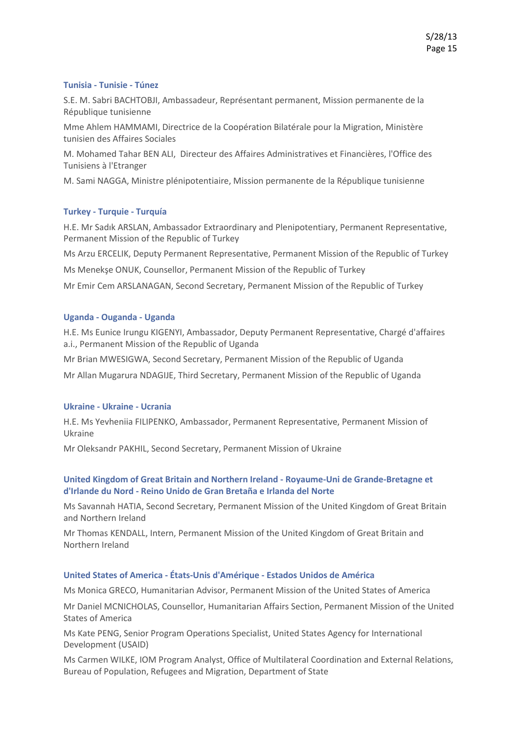# **Tunisia - Tunisie - Túnez**

S.E. M. Sabri BACHTOBJI, Ambassadeur, Représentant permanent, Mission permanente de la République tunisienne

Mme Ahlem HAMMAMI, Directrice de la Coopération Bilatérale pour la Migration, Ministère tunisien des Affaires Sociales

M. Mohamed Tahar BEN ALI, Directeur des Affaires Administratives et Financières, l'Office des Tunisiens à l'Etranger

M. Sami NAGGA, Ministre plénipotentiaire, Mission permanente de la République tunisienne

# **Turkey - Turquie - Turquía**

H.E. Mr Sadık ARSLAN, Ambassador Extraordinary and Plenipotentiary, Permanent Representative, Permanent Mission of the Republic of Turkey

Ms Arzu ERCELIK, Deputy Permanent Representative, Permanent Mission of the Republic of Turkey

Ms Menekşe ONUK, Counsellor, Permanent Mission of the Republic of Turkey

Mr Emir Cem ARSLANAGAN, Second Secretary, Permanent Mission of the Republic of Turkey

# **Uganda - Ouganda - Uganda**

H.E. Ms Eunice Irungu KIGENYI, Ambassador, Deputy Permanent Representative, Chargé d'affaires a.i., Permanent Mission of the Republic of Uganda

Mr Brian MWESIGWA, Second Secretary, Permanent Mission of the Republic of Uganda

Mr Allan Mugarura NDAGIJE, Third Secretary, Permanent Mission of the Republic of Uganda

# **Ukraine - Ukraine - Ucrania**

H.E. Ms Yevheniia FILIPENKO, Ambassador, Permanent Representative, Permanent Mission of Ukraine

Mr Oleksandr PAKHIL, Second Secretary, Permanent Mission of Ukraine

# **United Kingdom of Great Britain and Northern Ireland - Royaume-Uni de Grande-Bretagne et d'Irlande du Nord - Reino Unido de Gran Bretaña e Irlanda del Norte**

Ms Savannah HATIA, Second Secretary, Permanent Mission of the United Kingdom of Great Britain and Northern Ireland

Mr Thomas KENDALL, Intern, Permanent Mission of the United Kingdom of Great Britain and Northern Ireland

# **United States of America - États-Unis d'Amérique - Estados Unidos de América**

Ms Monica GRECO, Humanitarian Advisor, Permanent Mission of the United States of America

Mr Daniel MCNICHOLAS, Counsellor, Humanitarian Affairs Section, Permanent Mission of the United States of America

Ms Kate PENG, Senior Program Operations Specialist, United States Agency for International Development (USAID)

Ms Carmen WILKE, IOM Program Analyst, Office of Multilateral Coordination and External Relations, Bureau of Population, Refugees and Migration, Department of State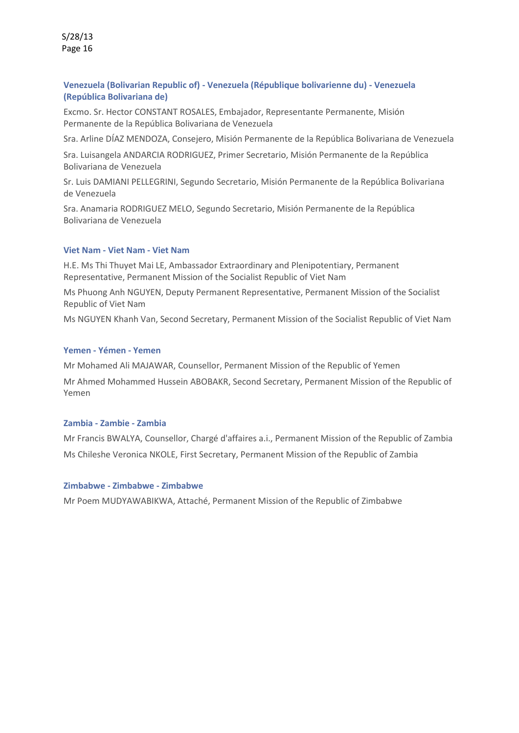# **Venezuela (Bolivarian Republic of) - Venezuela (République bolivarienne du) - Venezuela (República Bolivariana de)**

Excmo. Sr. Hector CONSTANT ROSALES, Embajador, Representante Permanente, Misión Permanente de la República Bolivariana de Venezuela

Sra. Arline DÍAZ MENDOZA, Consejero, Misión Permanente de la República Bolivariana de Venezuela

Sra. Luisangela ANDARCIA RODRIGUEZ, Primer Secretario, Misión Permanente de la República Bolivariana de Venezuela

Sr. Luis DAMIANI PELLEGRINI, Segundo Secretario, Misión Permanente de la República Bolivariana de Venezuela

Sra. Anamaria RODRIGUEZ MELO, Segundo Secretario, Misión Permanente de la República Bolivariana de Venezuela

#### **Viet Nam - Viet Nam - Viet Nam**

H.E. Ms Thi Thuyet Mai LE, Ambassador Extraordinary and Plenipotentiary, Permanent Representative, Permanent Mission of the Socialist Republic of Viet Nam

Ms Phuong Anh NGUYEN, Deputy Permanent Representative, Permanent Mission of the Socialist Republic of Viet Nam

Ms NGUYEN Khanh Van, Second Secretary, Permanent Mission of the Socialist Republic of Viet Nam

#### **Yemen - Yémen - Yemen**

Mr Mohamed Ali MAJAWAR, Counsellor, Permanent Mission of the Republic of Yemen

Mr Ahmed Mohammed Hussein ABOBAKR, Second Secretary, Permanent Mission of the Republic of Yemen

# **Zambia - Zambie - Zambia**

Mr Francis BWALYA, Counsellor, Chargé d'affaires a.i., Permanent Mission of the Republic of Zambia Ms Chileshe Veronica NKOLE, First Secretary, Permanent Mission of the Republic of Zambia

#### **Zimbabwe - Zimbabwe - Zimbabwe**

Mr Poem MUDYAWABIKWA, Attaché, Permanent Mission of the Republic of Zimbabwe